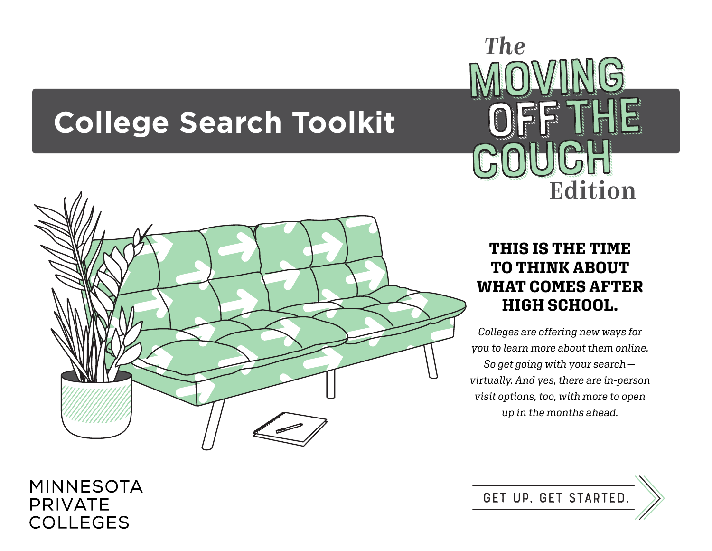# **College Search Toolkit**



## Edition *The* MoViNg OFFF<sup>T</sup> COUCH MOVING<br>OFF THI

### **THIS IS THE TIME TO THINK ABOUT WHAT COMES AFTER HIGH SCHOOL.**

*Colleges are offering new ways for you to learn more about them online. So get going with your search virtually. And yes, there are in-person visit options, too, with more to open up in the months ahead.*

**GeT Up. GeT StArTeD.**

### **MINNESOTA PRIVATE COLLEGES**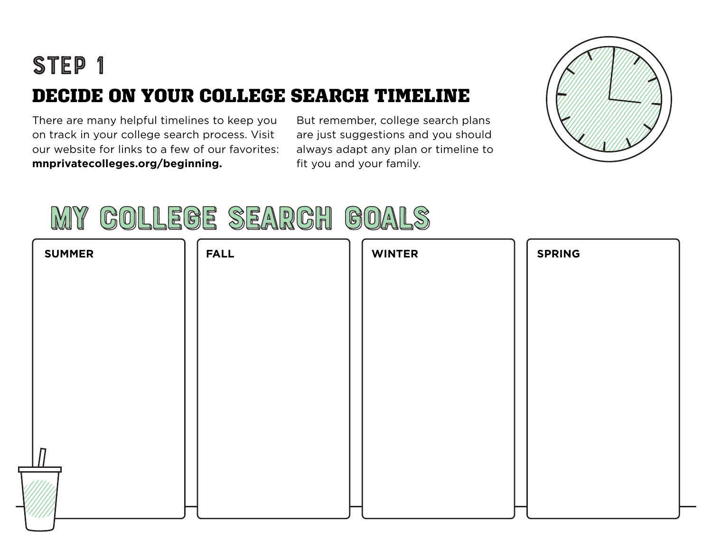## DECIDE ON YOUR COLLEGE SEARCH TIMELINE STEP<sub>1</sub>

There are many helpful timelines to keep you on track in your college search process. Visit our website for links to a few of our favorites: **mnprivatecolleges.org/beginning.**

But remember, college search plans are just suggestions and you should always adapt any plan or timeline to fit you and your family.



# My CoLlEgE SeArCh GoAlS **My CoLlEgE SeArCh GoAlS**

| <b>SUMMER</b> | <b>FALL</b> | <b>WINTER</b> | <b>SPRING</b> |
|---------------|-------------|---------------|---------------|
|               |             |               |               |
|               |             |               |               |
|               |             |               |               |
|               |             |               |               |
|               |             |               |               |
|               |             |               |               |
| !!!!!!        |             |               |               |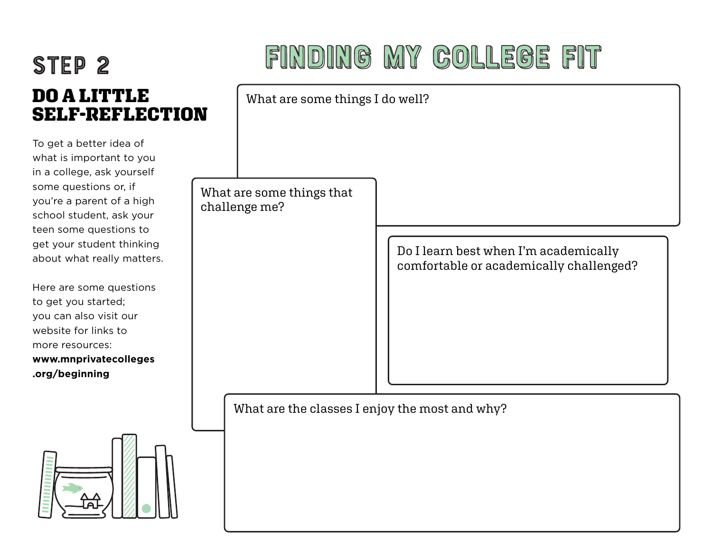### DO A LITT **SELF-REF** STEP<sub>2</sub>

To get a better ide what is important in a college, ask you some questions or you're a parent of school student, as teen some questio get your student th about what really

Here are some que to get you started; you can also visit ou website for links to more resources: www.mnprivateco **.org/beginning**

# FINDING MY COLLEGE FIT

| 'LE<br><b>LECTION</b>                                                                                                          |  | What are some things I do well?                |                                                                                  |  |
|--------------------------------------------------------------------------------------------------------------------------------|--|------------------------------------------------|----------------------------------------------------------------------------------|--|
| ea of<br>to you<br><b>purself</b><br>; if<br>a high<br>k your<br>ns to<br>hinking<br>matters.<br>estions<br>our<br>⊃<br>lleges |  | What are some things that<br>challenge me?     | Do I learn best when I'm academically<br>comfortable or academically challenged? |  |
|                                                                                                                                |  | What are the classes I enjoy the most and why? |                                                                                  |  |

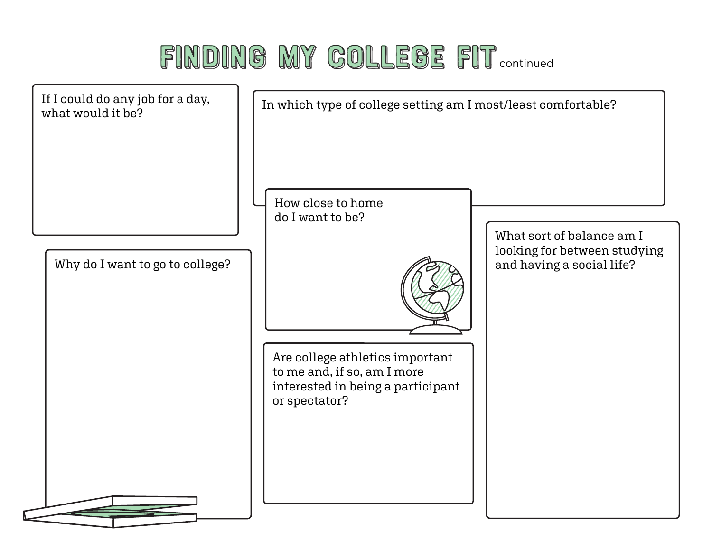# FINDING MY GOLLEGE FIT continued

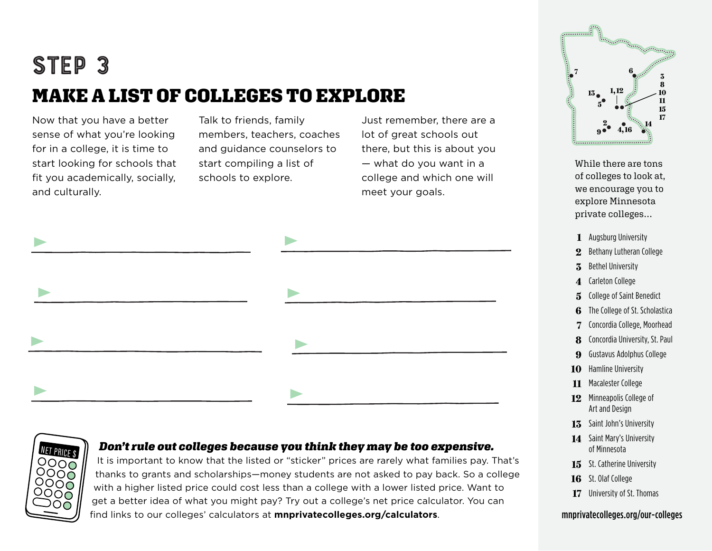## MAKE A LIST OF COLLEGES TO EXPLORE StEp 3

Now that you have a better sense of what you're looking for in a college, it is time to start looking for schools that fit you academically, socially, and culturally.

Talk to friends, family members, teachers, coaches and guidance counselors to start compiling a list of schools to explore.

Just remember, there are a lot of great schools out there, but this is about you — what do you want in a college and which one will meet your goals.





#### *Don't rule out colleges because you think they may be too expensive.*

It is important to know that the listed or "sticker" prices are rarely what families pay. That's thanks to grants and scholarships—money students are not asked to pay back. So a college with a higher listed price could cost less than a college with a lower listed price. Want to get a better idea of what you might pay? Try out a college's net price calculator. You can find links to our colleges' calculators at **mnprivatecolleges.org/calculators**.



While there are tons of colleges to look at, we encourage you to explore Minnesota private colleges…

- Augsburg University **1**
- Bethany Lutheran College **2**
- Bethel University **3**
- Carleton College **4**
- College of Saint Benedict **5**
- The College of St. Scholastica **6**
- Concordia College, Moorhead **7**
- Concordia University, St. Paul **8**
- Gustavus Adolphus College **9**
- Hamline University **10**
- 11 Macalester College
- **12** Minneapolis College of Art and Design
- **13** Saint John's University
- 14 Saint Mary's University of Minnesota
- **15** St. Catherine University
- St. Olaf College **16**
- University of St. Thomas **17**

#### mnprivatecolleges.org/our-colleges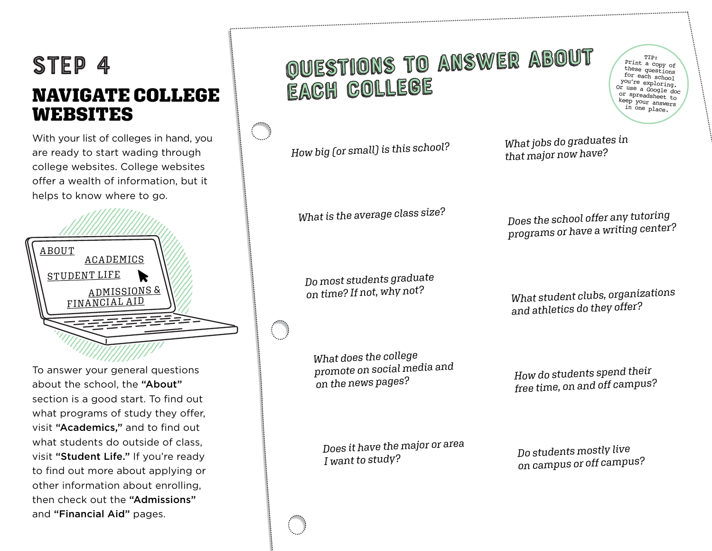### StEp 4 NAVIGATE COLLEGE WEBSITES

With your list of colleges in hand, you are ready to start wading through college websites. College websites offer a wealth of information, but it helps to know where to go.



To answer your general questions about the school, the "About" section is a good start. To find out what programs of study they offer, visit "Academics," and to find out what students do outside of class, visit "Student Life." If you're ready to find out more about applying or other information about enrolling, then check out the "Admissions" and "Financial Aid" pages.

### QuEsTiOnS To AnSwEr AbOuT QuEsTiOnS To AnSwEr AbOuT EaCh CoLlEgE EaCh CoLlEgE

*How big (or small) is this school?*

*What is the average class size?*

*Do most students graduate on time? If not, why not?*

*What does the college promote on social media and on the news pages?*

*What jobs do graduates in that major now have?*

*Does the school offer any tutoring programs or have a writing center?*

*What student clubs, organizations and athletics do they offer?*

*How do students spend their free time, on and off campus?*

*Does it have the major or area I want to study?*

*Do students mostly live on campus or off campus?*

TIP: Print a copy of these questions for each school you're exploring. Or use a Google doc or spreadsheet to keep your answers in one place.